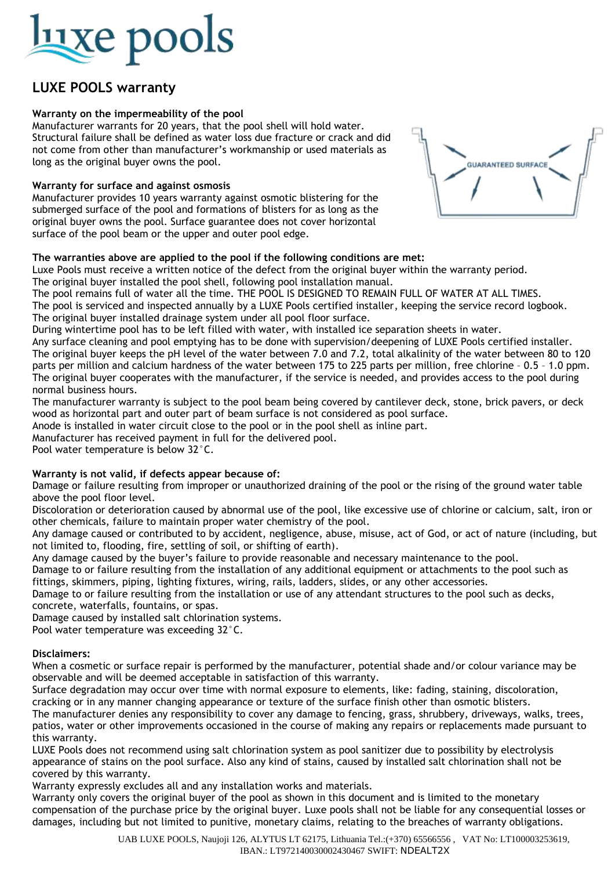

# **LUXE POOLS warranty**

### **Warranty on the impermeability of the pool**

Manufacturer warrants for 20 years, that the pool shell will hold water. Structural failure shall be defined as water loss due fracture or crack and did not come from other than manufacturer's workmanship or used materials as long as the original buyer owns the pool.

#### **Warranty for surface and against osmosis**

Manufacturer provides 10 years warranty against osmotic blistering for the submerged surface of the pool and formations of blisters for as long as the original buyer owns the pool. Surface guarantee does not cover horizontal surface of the pool beam or the upper and outer pool edge.

## **The warranties above are applied to the pool if the following conditions are met:**

Luxe Pools must receive a written notice of the defect from the original buyer within the warranty period. The original buyer installed the pool shell, following pool installation manual.

The pool remains full of water all the time. THE POOL IS DESIGNED TO REMAIN FULL OF WATER AT ALL TIMES.

The pool is serviced and inspected annually by a LUXE Pools certified installer, keeping the service record logbook.

The original buyer installed drainage system under all pool floor surface.

During wintertime pool has to be left filled with water, with installed ice separation sheets in water.

Any surface cleaning and pool emptying has to be done with supervision/deepening of LUXE Pools certified installer. The original buyer keeps the pH level of the water between 7.0 and 7.2, total alkalinity of the water between 80 to 120 parts per million and calcium hardness of the water between 175 to 225 parts per million, free chlorine – 0.5 – 1.0 ppm. The original buyer cooperates with the manufacturer, if the service is needed, and provides access to the pool during normal business hours.

**GUARANTEED SURFACE** 

The manufacturer warranty is subject to the pool beam being covered by cantilever deck, stone, brick pavers, or deck wood as horizontal part and outer part of beam surface is not considered as pool surface.

Anode is installed in water circuit close to the pool or in the pool shell as inline part.

Manufacturer has received payment in full for the delivered pool.

Pool water temperature is below 32°C.

# **Warranty is not valid, if defects appear because of:**

Damage or failure resulting from improper or unauthorized draining of the pool or the rising of the ground water table above the pool floor level.

Discoloration or deterioration caused by abnormal use of the pool, like excessive use of chlorine or calcium, salt, iron or other chemicals, failure to maintain proper water chemistry of the pool.

Any damage caused or contributed to by accident, negligence, abuse, misuse, act of God, or act of nature (including, but not limited to, flooding, fire, settling of soil, or shifting of earth).

Any damage caused by the buyer's failure to provide reasonable and necessary maintenance to the pool.

Damage to or failure resulting from the installation of any additional equipment or attachments to the pool such as fittings, skimmers, piping, lighting fixtures, wiring, rails, ladders, slides, or any other accessories.

Damage to or failure resulting from the installation or use of any attendant structures to the pool such as decks, concrete, waterfalls, fountains, or spas.

Damage caused by installed salt chlorination systems.

Pool water temperature was exceeding 32°C.

#### **Disclaimers:**

When a cosmetic or surface repair is performed by the manufacturer, potential shade and/or colour variance may be observable and will be deemed acceptable in satisfaction of this warranty.

Surface degradation may occur over time with normal exposure to elements, like: fading, staining, discoloration, cracking or in any manner changing appearance or texture of the surface finish other than osmotic blisters.

The manufacturer denies any responsibility to cover any damage to fencing, grass, shrubbery, driveways, walks, trees, patios, water or other improvements occasioned in the course of making any repairs or replacements made pursuant to this warranty.

LUXE Pools does not recommend using salt chlorination system as pool sanitizer due to possibility by electrolysis appearance of stains on the pool surface. Also any kind of stains, caused by installed salt chlorination shall not be covered by this warranty.

Warranty expressly excludes all and any installation works and materials.

Warranty only covers the original buyer of the pool as shown in this document and is limited to the monetary compensation of the purchase price by the original buyer. Luxe pools shall not be liable for any consequential losses or damages, including but not limited to punitive, monetary claims, relating to the breaches of warranty obligations.